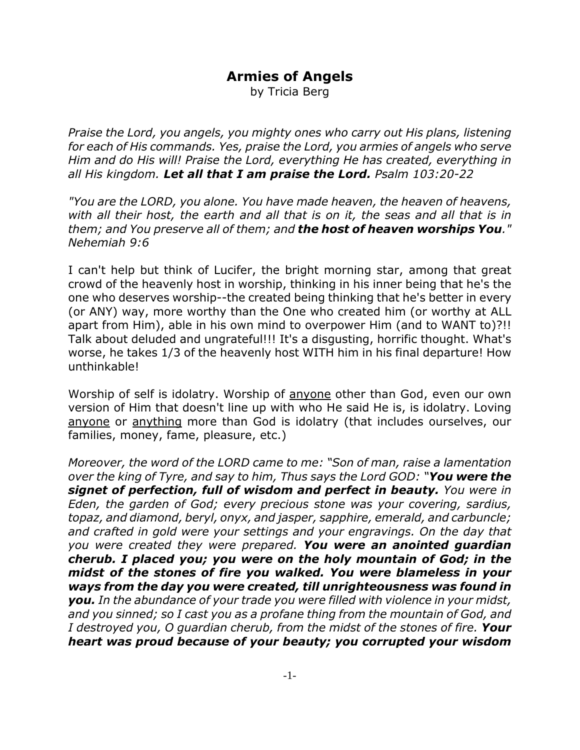## **Armies of Angels**

by Tricia Berg

*Praise the Lord, you angels, you mighty ones who carry out His plans, listening for each of His commands. Yes, praise the Lord, you armies of angels who serve Him and do His will! Praise the Lord, everything He has created, everything in all His kingdom. Let all that I am praise the Lord. Psalm 103:20-22*

*"You are the LORD, you alone. You have made heaven, the heaven of heavens, with all their host, the earth and all that is on it, the seas and all that is in them; and You preserve all of them; and the host of heaven worships You." Nehemiah 9:6*

I can't help but think of Lucifer, the bright morning star, among that great crowd of the heavenly host in worship, thinking in his inner being that he's the one who deserves worship--the created being thinking that he's better in every (or ANY) way, more worthy than the One who created him (or worthy at ALL apart from Him), able in his own mind to overpower Him (and to WANT to)?!! Talk about deluded and ungrateful!!! It's a disgusting, horrific thought. What's worse, he takes 1/3 of the heavenly host WITH him in his final departure! How unthinkable!

Worship of self is idolatry. Worship of anyone other than God, even our own version of Him that doesn't line up with who He said He is, is idolatry. Loving anyone or anything more than God is idolatry (that includes ourselves, our families, money, fame, pleasure, etc.)

*Moreover, the word of the LORD came to me: "Son of man, raise a lamentation over the king of Tyre, and say to him, Thus says the Lord GOD: "You were the signet of perfection, full of wisdom and perfect in beauty. You were in Eden, the garden of God; every precious stone was your covering, sardius, topaz, and diamond, beryl, onyx, and jasper, sapphire, emerald, and carbuncle; and crafted in gold were your settings and your engravings. On the day that you were created they were prepared. You were an anointed guardian cherub. I placed you; you were on the holy mountain of God; in the midst of the stones of fire you walked. You were blameless in your ways from the day you were created, till unrighteousness was found in you. In the abundance of your trade you were filled with violence in your midst, and you sinned; so I cast you as a profane thing from the mountain of God, and I destroyed you, O guardian cherub, from the midst of the stones of fire. Your heart was proud because of your beauty; you corrupted your wisdom*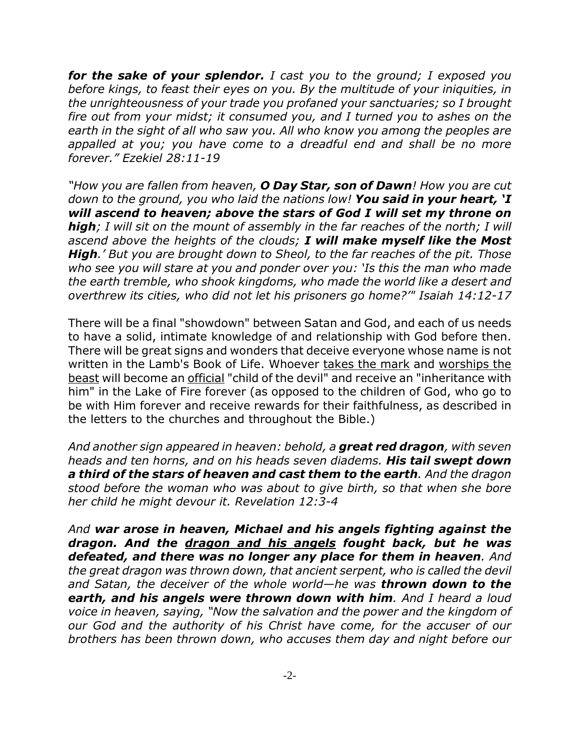*for the sake of your splendor. I cast you to the ground; I exposed you before kings, to feast their eyes on you. By the multitude of your iniquities, in the unrighteousness of your trade you profaned your sanctuaries; so I brought fire out from your midst; it consumed you, and I turned you to ashes on the earth in the sight of all who saw you. All who know you among the peoples are appalled at you; you have come to a dreadful end and shall be no more forever." Ezekiel 28:11-19*

*"How you are fallen from heaven, O Day Star, son of Dawn! How you are cut down to the ground, you who laid the nations low! You said in your heart, 'I will ascend to heaven; above the stars of God I will set my throne on high; I will sit on the mount of assembly in the far reaches of the north; I will ascend above the heights of the clouds; I will make myself like the Most High.' But you are brought down to Sheol, to the far reaches of the pit. Those who see you will stare at you and ponder over you: 'Is this the man who made the earth tremble, who shook kingdoms, who made the world like a desert and overthrew its cities, who did not let his prisoners go home?'" Isaiah 14:12-17*

There will be a final "showdown" between Satan and God, and each of us needs to have a solid, intimate knowledge of and relationship with God before then. There will be great signs and wonders that deceive everyone whose name is not written in the Lamb's Book of Life. Whoever takes the mark and worships the beast will become an official "child of the devil" and receive an "inheritance with him" in the Lake of Fire forever (as opposed to the children of God, who go to be with Him forever and receive rewards for their faithfulness, as described in the letters to the churches and throughout the Bible.)

*And another sign appeared in heaven: behold, a great red dragon, with seven heads and ten horns, and on his heads seven diadems. His tail swept down a third of the stars of heaven and cast them to the earth. And the dragon stood before the woman who was about to give birth, so that when she bore her child he might devour it. Revelation 12:3-4*

*And war arose in heaven, Michael and his angels fighting against the dragon. And the dragon and his angels fought back, but he was defeated, and there was no longer any place for them in heaven. And the great dragon was thrown down, that ancient serpent, who is called the devil and Satan, the deceiver of the whole world—he was thrown down to the earth, and his angels were thrown down with him. And I heard a loud voice in heaven, saying, "Now the salvation and the power and the kingdom of our God and the authority of his Christ have come, for the accuser of our brothers has been thrown down, who accuses them day and night before our*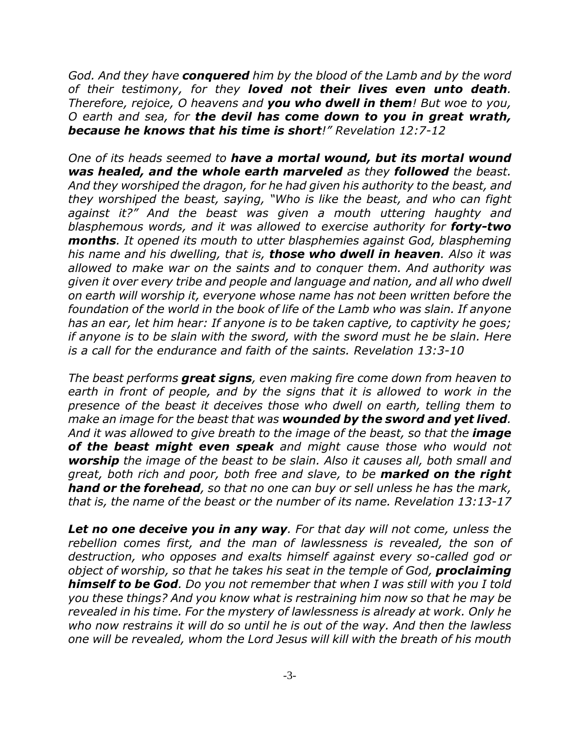*God. And they have conquered him by the blood of the Lamb and by the word of their testimony, for they loved not their lives even unto death. Therefore, rejoice, O heavens and you who dwell in them! But woe to you, O earth and sea, for the devil has come down to you in great wrath, because he knows that his time is short!" Revelation 12:7-12*

*One of its heads seemed to have a mortal wound, but its mortal wound was healed, and the whole earth marveled as they followed the beast. And they worshiped the dragon, for he had given his authority to the beast, and they worshiped the beast, saying, "Who is like the beast, and who can fight against it?" And the beast was given a mouth uttering haughty and blasphemous words, and it was allowed to exercise authority for forty-two months. It opened its mouth to utter blasphemies against God, blaspheming his name and his dwelling, that is, those who dwell in heaven. Also it was allowed to make war on the saints and to conquer them. And authority was given it over every tribe and people and language and nation, and all who dwell on earth will worship it, everyone whose name has not been written before the foundation of the world in the book of life of the Lamb who was slain. If anyone has an ear, let him hear: If anyone is to be taken captive, to captivity he goes; if anyone is to be slain with the sword, with the sword must he be slain. Here is a call for the endurance and faith of the saints. Revelation 13:3-10*

*The beast performs great signs, even making fire come down from heaven to earth in front of people, and by the signs that it is allowed to work in the presence of the beast it deceives those who dwell on earth, telling them to make an image for the beast that was wounded by the sword and yet lived.* And it was allowed to give breath to the *image of the beast, so that the image of the beast might even speak and might cause those who would not worship the image of the beast to be slain. Also it causes all, both small and great, both rich and poor, both free and slave, to be marked on the right hand or the forehead, so that no one can buy or sell unless he has the mark, that is, the name of the beast or the number of its name. Revelation 13:13-17*

*Let no one deceive you in any way. For that day will not come, unless the rebellion comes first, and the man of lawlessness is revealed, the son of destruction, who opposes and exalts himself against every so-called god or object of worship, so that he takes his seat in the temple of God, proclaiming himself to be God. Do you not remember that when I was still with you I told you these things? And you know what is restraining him now so that he may be revealed in his time. For the mystery of lawlessness is already at work. Only he who now restrains it will do so until he is out of the way. And then the lawless one will be revealed, whom the Lord Jesus will kill with the breath of his mouth*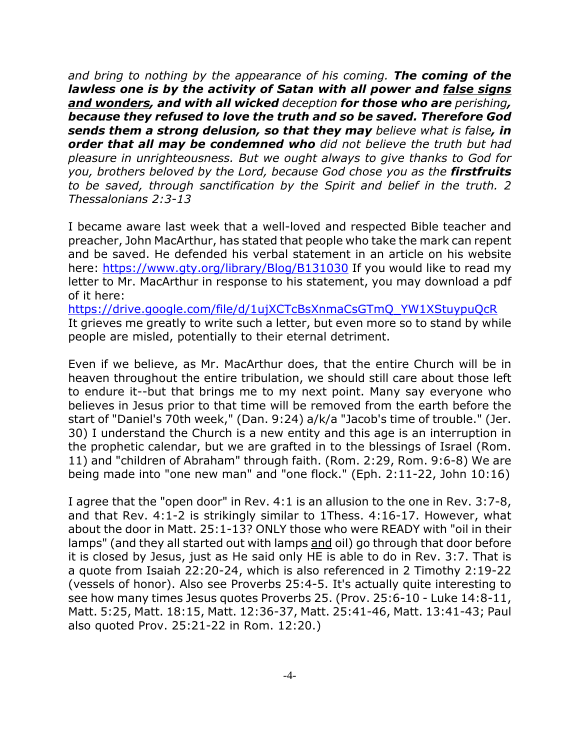*and bring to nothing by the appearance of his coming. The coming of the lawless one is by the activity of Satan with all power and false signs and wonders, and with all wicked deception for those who are perishing, because they refused to love the truth and so be saved. Therefore God sends them a strong delusion, so that they may believe what is false, in order that all may be condemned who did not believe the truth but had pleasure in unrighteousness. But we ought always to give thanks to God for you, brothers beloved by the Lord, because God chose you as the firstfruits to be saved, through sanctification by the Spirit and belief in the truth. 2 Thessalonians 2:3-13*

I became aware last week that a well-loved and respected Bible teacher and preacher, John MacArthur, has stated that people who take the mark can repent and be saved. He defended his verbal statement in an article on his website here: https://www.gty.org/library/Blog/B131030 If you would like to read my letter to Mr. MacArthur in response to his statement, you may download a pdf of it here:

https://drive.google.com/file/d/1ujXCTcBsXnmaCsGTmQ\_YW1XStuypuQcR It grieves me greatly to write such a letter, but even more so to stand by while people are misled, potentially to their eternal detriment.

Even if we believe, as Mr. MacArthur does, that the entire Church will be in heaven throughout the entire tribulation, we should still care about those left to endure it--but that brings me to my next point. Many say everyone who believes in Jesus prior to that time will be removed from the earth before the start of "Daniel's 70th week," (Dan. 9:24) a/k/a "Jacob's time of trouble." (Jer. 30) I understand the Church is a new entity and this age is an interruption in the prophetic calendar, but we are grafted in to the blessings of Israel (Rom. 11) and "children of Abraham" through faith. (Rom. 2:29, Rom. 9:6-8) We are being made into "one new man" and "one flock." (Eph. 2:11-22, John 10:16)

I agree that the "open door" in Rev. 4:1 is an allusion to the one in Rev. 3:7-8, and that Rev. 4:1-2 is strikingly similar to 1Thess. 4:16-17. However, what about the door in Matt. 25:1-13? ONLY those who were READY with "oil in their lamps" (and they all started out with lamps and oil) go through that door before it is closed by Jesus, just as He said only HE is able to do in Rev. 3:7. That is a quote from Isaiah 22:20-24, which is also referenced in 2 Timothy 2:19-22 (vessels of honor). Also see Proverbs 25:4-5. It's actually quite interesting to see how many times Jesus quotes Proverbs 25. (Prov. 25:6-10 - Luke 14:8-11, Matt. 5:25, Matt. 18:15, Matt. 12:36-37, Matt. 25:41-46, Matt. 13:41-43; Paul also quoted Prov. 25:21-22 in Rom. 12:20.)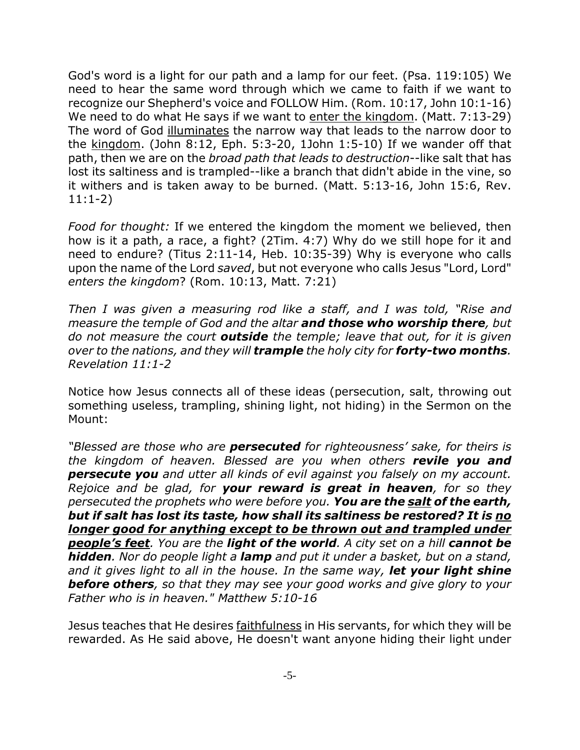God's word is a light for our path and a lamp for our feet. (Psa. 119:105) We need to hear the same word through which we came to faith if we want to recognize our Shepherd's voice and FOLLOW Him. (Rom. 10:17, John 10:1-16) We need to do what He says if we want to enter the kingdom. (Matt. 7:13-29) The word of God illuminates the narrow way that leads to the narrow door to the  $kingdom.$  (John 8:12, Eph. 5:3-20, 1John 1:5-10) If we wander off that path, then we are on the *broad path that leads to destruction*--like salt that has lost its saltiness and is trampled--like a branch that didn't abide in the vine, so it withers and is taken away to be burned. (Matt. 5:13-16, John 15:6, Rev. 11:1-2)

*Food for thought:* If we entered the kingdom the moment we believed, then how is it a path, a race, a fight? (2Tim. 4:7) Why do we still hope for it and need to endure? (Titus 2:11-14, Heb. 10:35-39) Why is everyone who calls upon the name of the Lord *saved*, but not everyone who calls Jesus "Lord, Lord" *enters the kingdom*? (Rom. 10:13, Matt. 7:21)

*Then I was given a measuring rod like a staff, and I was told, "Rise and measure the temple of God and the altar and those who worship there, but do not measure the court outside the temple; leave that out, for it is given over to the nations, and they will trample the holy city for forty-two months. Revelation 11:1-2*

Notice how Jesus connects all of these ideas (persecution, salt, throwing out something useless, trampling, shining light, not hiding) in the Sermon on the Mount:

*"Blessed are those who are persecuted for righteousness' sake, for theirs is the kingdom of heaven. Blessed are you when others revile you and persecute you and utter all kinds of evil against you falsely on my account. Rejoice and be glad, for your reward is great in heaven, for so they persecuted the prophets who were before you. You are the salt of the earth, but if salt has lost its taste, how shall its saltiness be restored? It is no longer good for anything except to be thrown out and trampled under people's feet. You are the light of the world. A city set on a hill cannot be hidden. Nor do people light a lamp and put it under a basket, but on a stand, and it gives light to all in the house. In the same way, let your light shine before others, so that they may see your good works and give glory to your Father who is in heaven." Matthew 5:10-16*

Jesus teaches that He desires faithfulness in His servants, for which they will be rewarded. As He said above, He doesn't want anyone hiding their light under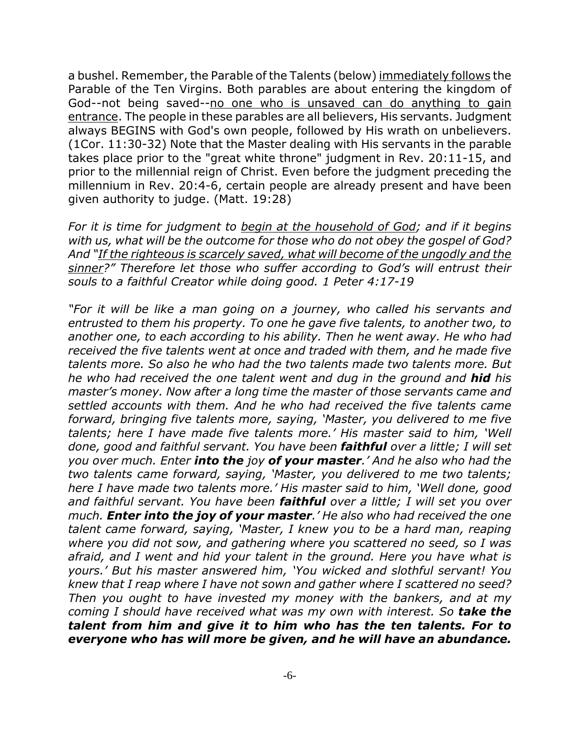a bushel. Remember, the Parable of the Talents (below) immediately follows the Parable of the Ten Virgins. Both parables are about entering the kingdom of God--not being saved--no one who is unsaved can do anything to gain entrance. The people in these parables are all believers, His servants. Judgment always BEGINS with God's own people, followed by His wrath on unbelievers. (1Cor. 11:30-32) Note that the Master dealing with His servants in the parable takes place prior to the "great white throne" judgment in Rev. 20:11-15, and prior to the millennial reign of Christ. Even before the judgment preceding the millennium in Rev. 20:4-6, certain people are already present and have been given authority to judge. (Matt. 19:28)

*For it is time for judgment to begin at the household of God; and if it begins with us, what will be the outcome for those who do not obey the gospel of God? And "If the righteous is scarcely saved, what will become of the ungodly and the sinner?" Therefore let those who suffer according to God's will entrust their souls to a faithful Creator while doing good. 1 Peter 4:17-19*

*"For it will be like a man going on a journey, who called his servants and entrusted to them his property. To one he gave five talents, to another two, to another one, to each according to his ability. Then he went away. He who had received the five talents went at once and traded with them, and he made five talents more. So also he who had the two talents made two talents more. But he who had received the one talent went and dug in the ground and hid his master's money. Now after a long time the master of those servants came and settled accounts with them. And he who had received the five talents came forward, bringing five talents more, saying, 'Master, you delivered to me five talents; here I have made five talents more.' His master said to him, 'Well done, good and faithful servant. You have been faithful over a little; I will set you over much. Enter into the joy of your master.' And he also who had the two talents came forward, saying, 'Master, you delivered to me two talents; here I have made two talents more.' His master said to him, 'Well done, good and faithful servant. You have been faithful over a little; I will set you over much. Enter into the joy of your master.' He also who had received the one talent came forward, saying, 'Master, I knew you to be a hard man, reaping where you did not sow, and gathering where you scattered no seed, so I was afraid, and I went and hid your talent in the ground. Here you have what is yours.' But his master answered him, 'You wicked and slothful servant! You knew that I reap where I have not sown and gather where I scattered no seed? Then you ought to have invested my money with the bankers, and at my coming I should have received what was my own with interest. So take the talent from him and give it to him who has the ten talents. For to everyone who has will more be given, and he will have an abundance.*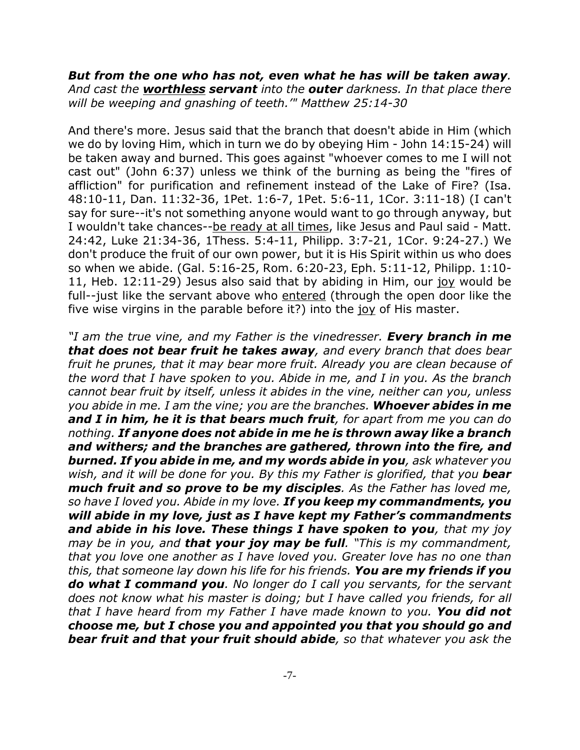*But from the one who has not, even what he has will be taken away. And cast the worthless servant into the outer darkness. In that place there will be weeping and gnashing of teeth.'" Matthew 25:14-30*

And there's more. Jesus said that the branch that doesn't abide in Him (which we do by loving Him, which in turn we do by obeying Him - John 14:15-24) will be taken away and burned. This goes against "whoever comes to me I will not cast out" (John 6:37) unless we think of the burning as being the "fires of affliction" for purification and refinement instead of the Lake of Fire? (Isa. 48:10-11, Dan. 11:32-36, 1Pet. 1:6-7, 1Pet. 5:6-11, 1Cor. 3:11-18) (I can't say for sure--it's not something anyone would want to go through anyway, but I wouldn't take chances--be ready at all times, like Jesus and Paul said - Matt. 24:42, Luke 21:34-36, 1Thess. 5:4-11, Philipp. 3:7-21, 1Cor. 9:24-27.) We don't produce the fruit of our own power, but it is His Spirit within us who does so when we abide. (Gal. 5:16-25, Rom. 6:20-23, Eph. 5:11-12, Philipp. 1:10- 11, Heb. 12:11-29) Jesus also said that by abiding in Him, our joy would be full--just like the servant above who entered (through the open door like the five wise virgins in the parable before it?) into the joy of His master.

*"I am the true vine, and my Father is the vinedresser. Every branch in me that does not bear fruit he takes away, and every branch that does bear fruit he prunes, that it may bear more fruit. Already you are clean because of the word that I have spoken to you. Abide in me, and I in you. As the branch cannot bear fruit by itself, unless it abides in the vine, neither can you, unless you abide in me. I am the vine; you are the branches. Whoever abides in me and I in him, he it is that bears much fruit, for apart from me you can do nothing. If anyone does not abide in me he is thrown away like a branch and withers; and the branches are gathered, thrown into the fire, and burned. If you abide in me, and my words abide in you, ask whatever you* wish, and it will be done for you. By this my Father is glorified, that you **bear** *much fruit and so prove to be my disciples. As the Father has loved me, so have I loved you. Abide in my love. If you keep my commandments, you will abide in my love, just as I have kept my Father's commandments and abide in his love. These things I have spoken to you, that my joy may be in you, and that your joy may be full. "This is my commandment, that you love one another as I have loved you. Greater love has no one than this, that someone lay down his life for his friends. You are my friends if you do what I command you. No longer do I call you servants, for the servant does not know what his master is doing; but I have called you friends, for all that I have heard from my Father I have made known to you. You did not choose me, but I chose you and appointed you that you should go and bear fruit and that your fruit should abide, so that whatever you ask the*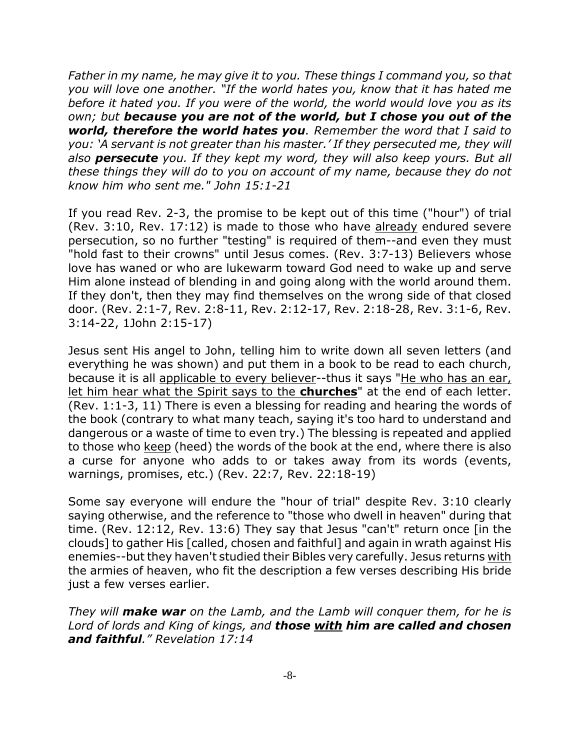*Father in my name, he may give it to you. These things I command you, so that you will love one another. "If the world hates you, know that it has hated me before it hated you. If you were of the world, the world would love you as its own; but because you are not of the world, but I chose you out of the world, therefore the world hates you. Remember the word that I said to you: 'A servant is not greater than his master.' If they persecuted me, they will also persecute you. If they kept my word, they will also keep yours. But all these things they will do to you on account of my name, because they do not know him who sent me." John 15:1-21*

If you read Rev. 2-3, the promise to be kept out of this time ("hour") of trial (Rev. 3:10, Rev. 17:12) is made to those who have already endured severe persecution, so no further "testing" is required of them--and even they must "hold fast to their crowns" until Jesus comes. (Rev. 3:7-13) Believers whose love has waned or who are lukewarm toward God need to wake up and serve Him alone instead of blending in and going along with the world around them. If they don't, then they may find themselves on the wrong side of that closed door. (Rev. 2:1-7, Rev. 2:8-11, Rev. 2:12-17, Rev. 2:18-28, Rev. 3:1-6, Rev. 3:14-22, 1John 2:15-17)

Jesus sent His angel to John, telling him to write down all seven letters (and everything he was shown) and put them in a book to be read to each church, because it is all applicable to every believer--thus it says "He who has an ear, let him hear what the Spirit says to the **churches**" at the end of each letter. (Rev. 1:1-3, 11) There is even a blessing for reading and hearing the words of the book (contrary to what many teach, saying it's too hard to understand and dangerous or a waste of time to even try.) The blessing is repeated and applied to those who keep (heed) the words of the book at the end, where there is also a curse for anyone who adds to or takes away from its words (events, warnings, promises, etc.) (Rev. 22:7, Rev. 22:18-19)

Some say everyone will endure the "hour of trial" despite Rev. 3:10 clearly saying otherwise, and the reference to "those who dwell in heaven" during that time. (Rev. 12:12, Rev. 13:6) They say that Jesus "can't" return once [in the clouds] to gather His [called, chosen and faithful] and again in wrath against His enemies--but they haven't studied their Bibles very carefully. Jesus returns with the armies of heaven, who fit the description a few verses describing His bride just a few verses earlier.

*They will make war on the Lamb, and the Lamb will conquer them, for he is Lord of lords and King of kings, and those with him are called and chosen and faithful." Revelation 17:14*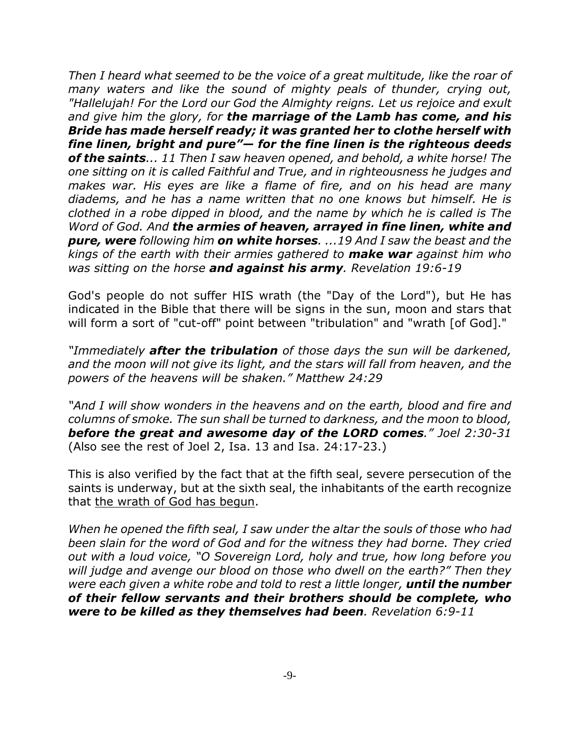*Then I heard what seemed to be the voice of a great multitude, like the roar of many waters and like the sound of mighty peals of thunder, crying out, "Hallelujah! For the Lord our God the Almighty reigns. Let us rejoice and exult and give him the glory, for the marriage of the Lamb has come, and his Bride has made herself ready; it was granted her to clothe herself with fine linen, bright and pure"— for the fine linen is the righteous deeds of the saints... 11 Then I saw heaven opened, and behold, a white horse! The one sitting on it is called Faithful and True, and in righteousness he judges and makes war. His eyes are like a flame of fire, and on his head are many diadems, and he has a name written that no one knows but himself. He is clothed in a robe dipped in blood, and the name by which he is called is The Word of God. And the armies of heaven, arrayed in fine linen, white and pure, were following him on white horses. ...19 And I saw the beast and the kings of the earth with their armies gathered to make war against him who was sitting on the horse and against his army. Revelation 19:6-19*

God's people do not suffer HIS wrath (the "Day of the Lord"), but He has indicated in the Bible that there will be signs in the sun, moon and stars that will form a sort of "cut-off" point between "tribulation" and "wrath [of God]."

*"Immediately after the tribulation of those days the sun will be darkened, and the moon will not give its light, and the stars will fall from heaven, and the powers of the heavens will be shaken." Matthew 24:29*

*"And I will show wonders in the heavens and on the earth, blood and fire and columns of smoke. The sun shall be turned to darkness, and the moon to blood, before the great and awesome day of the LORD comes." Joel 2:30-31* (Also see the rest of Joel 2, Isa. 13 and Isa. 24:17-23.)

This is also verified by the fact that at the fifth seal, severe persecution of the saints is underway, but at the sixth seal, the inhabitants of the earth recognize that the wrath of God has begun.

*When he opened the fifth seal, I saw under the altar the souls of those who had been slain for the word of God and for the witness they had borne. They cried out with a loud voice, "O Sovereign Lord, holy and true, how long before you will judge and avenge our blood on those who dwell on the earth?" Then they were each given a white robe and told to rest a little longer, until the number of their fellow servants and their brothers should be complete, who were to be killed as they themselves had been. Revelation 6:9-11*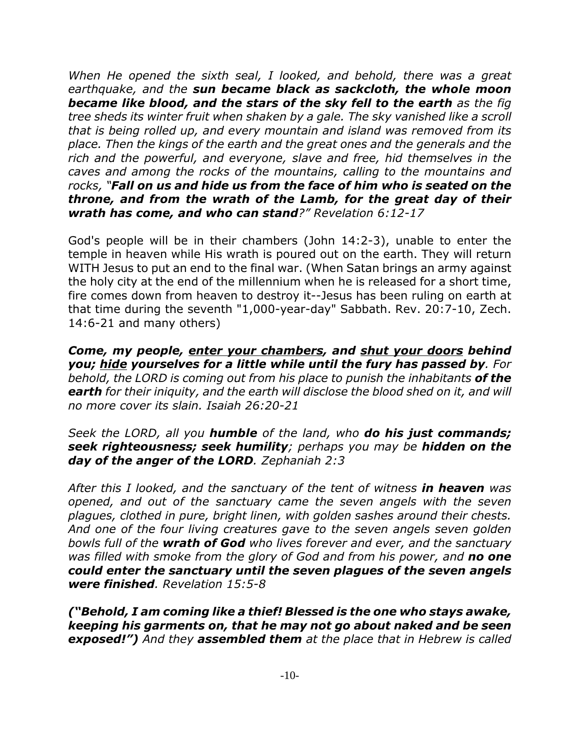*When He opened the sixth seal, I looked, and behold, there was a great earthquake, and the sun became black as sackcloth, the whole moon became like blood, and the stars of the sky fell to the earth as the fig tree sheds its winter fruit when shaken by a gale. The sky vanished like a scroll that is being rolled up, and every mountain and island was removed from its place. Then the kings of the earth and the great ones and the generals and the rich and the powerful, and everyone, slave and free, hid themselves in the caves and among the rocks of the mountains, calling to the mountains and rocks, "Fall on us and hide us from the face of him who is seated on the throne, and from the wrath of the Lamb, for the great day of their wrath has come, and who can stand?" Revelation 6:12-17*

God's people will be in their chambers (John 14:2-3), unable to enter the temple in heaven while His wrath is poured out on the earth. They will return WITH Jesus to put an end to the final war. (When Satan brings an army against the holy city at the end of the millennium when he is released for a short time, fire comes down from heaven to destroy it--Jesus has been ruling on earth at that time during the seventh "1,000-year-day" Sabbath. Rev. 20:7-10, Zech. 14:6-21 and many others)

*Come, my people, enter your chambers, and shut your doors behind you; hide yourselves for a little while until the fury has passed by. For behold, the LORD is coming out from his place to punish the inhabitants of the earth for their iniquity, and the earth will disclose the blood shed on it, and will no more cover its slain. Isaiah 26:20-21*

*Seek the LORD, all you humble of the land, who do his just commands; seek righteousness; seek humility; perhaps you may be hidden on the day of the anger of the LORD. Zephaniah 2:3*

*After this I looked, and the sanctuary of the tent of witness in heaven was opened, and out of the sanctuary came the seven angels with the seven plagues, clothed in pure, bright linen, with golden sashes around their chests. And one of the four living creatures gave to the seven angels seven golden bowls full of the wrath of God who lives forever and ever, and the sanctuary was filled with smoke from the glory of God and from his power, and no one could enter the sanctuary until the seven plagues of the seven angels were finished. Revelation 15:5-8*

*("Behold, I am coming like a thief! Blessed is the one who stays awake, keeping his garments on, that he may not go about naked and be seen exposed!") And they assembled them at the place that in Hebrew is called*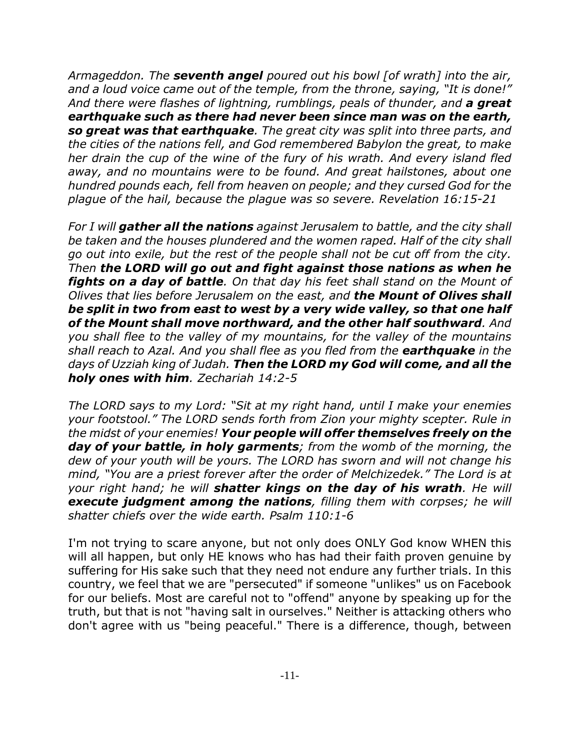*Armageddon. The seventh angel poured out his bowl [of wrath] into the air, and a loud voice came out of the temple, from the throne, saying, "It is done!" And there were flashes of lightning, rumblings, peals of thunder, and a great earthquake such as there had never been since man was on the earth, so great was that earthquake. The great city was split into three parts, and the cities of the nations fell, and God remembered Babylon the great, to make her drain the cup of the wine of the fury of his wrath. And every island fled away, and no mountains were to be found. And great hailstones, about one hundred pounds each, fell from heaven on people; and they cursed God for the plague of the hail, because the plague was so severe. Revelation 16:15-21*

*For I will gather all the nations against Jerusalem to battle, and the city shall be taken and the houses plundered and the women raped. Half of the city shall go out into exile, but the rest of the people shall not be cut off from the city. Then the LORD will go out and fight against those nations as when he fights on a day of battle. On that day his feet shall stand on the Mount of Olives that lies before Jerusalem on the east, and the Mount of Olives shall be split in two from east to west by a very wide valley, so that one half of the Mount shall move northward, and the other half southward. And you shall flee to the valley of my mountains, for the valley of the mountains shall reach to Azal. And you shall flee as you fled from the earthquake in the days of Uzziah king of Judah. Then the LORD my God will come, and all the holy ones with him. Zechariah 14:2-5*

*The LORD says to my Lord: "Sit at my right hand, until I make your enemies your footstool." The LORD sends forth from Zion your mighty scepter. Rule in the midst of your enemies! Your people will offer themselves freely on the day of your battle, in holy garments; from the womb of the morning, the dew of your youth will be yours. The LORD has sworn and will not change his mind, "You are a priest forever after the order of Melchizedek." The Lord is at your right hand; he will shatter kings on the day of his wrath. He will execute judgment among the nations, filling them with corpses; he will shatter chiefs over the wide earth. Psalm 110:1-6*

I'm not trying to scare anyone, but not only does ONLY God know WHEN this will all happen, but only HE knows who has had their faith proven genuine by suffering for His sake such that they need not endure any further trials. In this country, we feel that we are "persecuted" if someone "unlikes" us on Facebook for our beliefs. Most are careful not to "offend" anyone by speaking up for the truth, but that is not "having salt in ourselves." Neither is attacking others who don't agree with us "being peaceful." There is a difference, though, between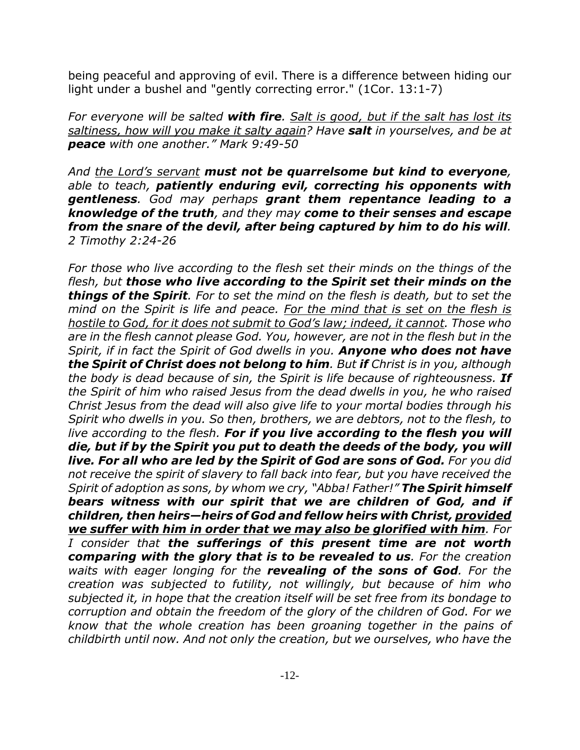being peaceful and approving of evil. There is a difference between hiding our light under a bushel and "gently correcting error." (1Cor. 13:1-7)

*For everyone will be salted with fire. Salt is good, but if the salt has lost its saltiness, how will you make it salty again? Have salt in yourselves, and be at peace with one another." Mark 9:49-50*

*And the Lord's servant must not be quarrelsome but kind to everyone, able to teach, patiently enduring evil, correcting his opponents with gentleness. God may perhaps grant them repentance leading to a knowledge of the truth, and they may come to their senses and escape from the snare of the devil, after being captured by him to do his will. 2 Timothy 2:24-26*

*For those who live according to the flesh set their minds on the things of the flesh, but those who live according to the Spirit set their minds on the things of the Spirit. For to set the mind on the flesh is death, but to set the mind on the Spirit is life and peace. For the mind that is set on the flesh is hostile to God, for it does not submit to God's law; indeed, it cannot. Those who are in the flesh cannot please God. You, however, are not in the flesh but in the Spirit, if in fact the Spirit of God dwells in you. Anyone who does not have the Spirit of Christ does not belong to him. But if Christ is in you, although the body is dead because of sin, the Spirit is life because of righteousness. If the Spirit of him who raised Jesus from the dead dwells in you, he who raised Christ Jesus from the dead will also give life to your mortal bodies through his Spirit who dwells in you. So then, brothers, we are debtors, not to the flesh, to live according to the flesh. For if you live according to the flesh you will die, but if by the Spirit you put to death the deeds of the body, you will live. For all who are led by the Spirit of God are sons of God. For you did not receive the spirit of slavery to fall back into fear, but you have received the Spirit of adoption as sons, by whom we cry, "Abba! Father!" The Spirit himself bears witness with our spirit that we are children of God, and if children, then heirs—heirs of God and fellow heirs with Christ, provided we suffer with him in order that we may also be glorified with him. For I consider that the sufferings of this present time are not worth comparing with the glory that is to be revealed to us. For the creation waits with eager longing for the revealing of the sons of God. For the creation was subjected to futility, not willingly, but because of him who subjected it, in hope that the creation itself will be set free from its bondage to corruption and obtain the freedom of the glory of the children of God. For we know that the whole creation has been groaning together in the pains of childbirth until now. And not only the creation, but we ourselves, who have the*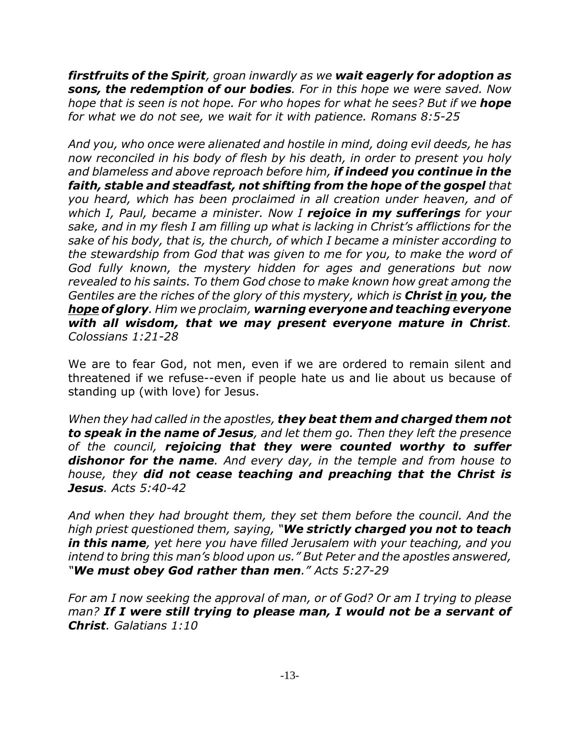*firstfruits of the Spirit, groan inwardly as we wait eagerly for adoption as sons, the redemption of our bodies. For in this hope we were saved. Now hope that is seen is not hope. For who hopes for what he sees? But if we hope for what we do not see, we wait for it with patience. Romans 8:5-25*

*And you, who once were alienated and hostile in mind, doing evil deeds, he has now reconciled in his body of flesh by his death, in order to present you holy and blameless and above reproach before him, if indeed you continue in the faith, stable and steadfast, not shifting from the hope of the gospel that you heard, which has been proclaimed in all creation under heaven, and of which I, Paul, became a minister. Now I rejoice in my sufferings for your sake, and in my flesh I am filling up what is lacking in Christ's afflictions for the sake of his body, that is, the church, of which I became a minister according to the stewardship from God that was given to me for you, to make the word of God fully known, the mystery hidden for ages and generations but now revealed to his saints. To them God chose to make known how great among the Gentiles are the riches of the glory of this mystery, which is Christ in you, the hope of glory. Him we proclaim, warning everyone and teaching everyone with all wisdom, that we may present everyone mature in Christ. Colossians 1:21-28*

We are to fear God, not men, even if we are ordered to remain silent and threatened if we refuse--even if people hate us and lie about us because of standing up (with love) for Jesus.

*When they had called in the apostles, they beat them and charged them not to speak in the name of Jesus, and let them go. Then they left the presence of the council, rejoicing that they were counted worthy to suffer dishonor for the name. And every day, in the temple and from house to house, they did not cease teaching and preaching that the Christ is Jesus. Acts 5:40-42*

*And when they had brought them, they set them before the council. And the high priest questioned them, saying, "We strictly charged you not to teach in this name, yet here you have filled Jerusalem with your teaching, and you intend to bring this man's blood upon us." But Peter and the apostles answered, "We must obey God rather than men." Acts 5:27-29*

*For am I now seeking the approval of man, or of God? Or am I trying to please man? If I were still trying to please man, I would not be a servant of Christ. Galatians 1:10*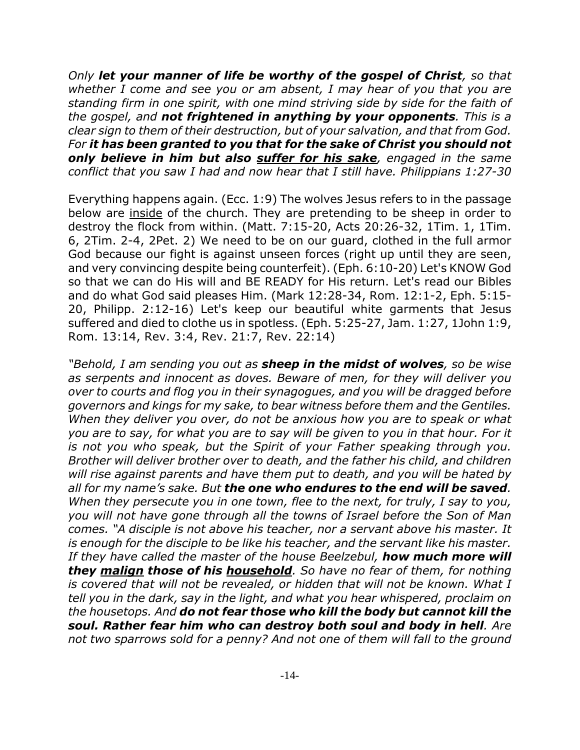*Only let your manner of life be worthy of the gospel of Christ, so that whether I come and see you or am absent, I may hear of you that you are standing firm in one spirit, with one mind striving side by side for the faith of the gospel, and not frightened in anything by your opponents. This is a clear sign to them of their destruction, but of your salvation, and that from God. For it has been granted to you that for the sake of Christ you should not only believe in him but also suffer for his sake, engaged in the same conflict that you saw I had and now hear that I still have. Philippians 1:27-30*

Everything happens again. (Ecc. 1:9) The wolves Jesus refers to in the passage below are inside of the church. They are pretending to be sheep in order to destroy the flock from within. (Matt. 7:15-20, Acts 20:26-32, 1Tim. 1, 1Tim. 6, 2Tim. 2-4, 2Pet. 2) We need to be on our guard, clothed in the full armor God because our fight is against unseen forces (right up until they are seen, and very convincing despite being counterfeit). (Eph. 6:10-20) Let's KNOW God so that we can do His will and BE READY for His return. Let's read our Bibles and do what God said pleases Him. (Mark 12:28-34, Rom. 12:1-2, Eph. 5:15- 20, Philipp. 2:12-16) Let's keep our beautiful white garments that Jesus suffered and died to clothe us in spotless. (Eph. 5:25-27, Jam. 1:27, 1John 1:9, Rom. 13:14, Rev. 3:4, Rev. 21:7, Rev. 22:14)

*"Behold, I am sending you out as sheep in the midst of wolves, so be wise as serpents and innocent as doves. Beware of men, for they will deliver you over to courts and flog you in their synagogues, and you will be dragged before governors and kings for my sake, to bear witness before them and the Gentiles. When they deliver you over, do not be anxious how you are to speak or what you are to say, for what you are to say will be given to you in that hour. For it is not you who speak, but the Spirit of your Father speaking through you. Brother will deliver brother over to death, and the father his child, and children will rise against parents and have them put to death, and you will be hated by all for my name's sake. But the one who endures to the end will be saved. When they persecute you in one town, flee to the next, for truly, I say to you, you will not have gone through all the towns of Israel before the Son of Man comes. "A disciple is not above his teacher, nor a servant above his master. It is enough for the disciple to be like his teacher, and the servant like his master. If they have called the master of the house Beelzebul, how much more will they malign those of his household. So have no fear of them, for nothing is covered that will not be revealed, or hidden that will not be known. What I tell you in the dark, say in the light, and what you hear whispered, proclaim on the housetops. And do not fear those who kill the body but cannot kill the soul. Rather fear him who can destroy both soul and body in hell. Are not two sparrows sold for a penny? And not one of them will fall to the ground*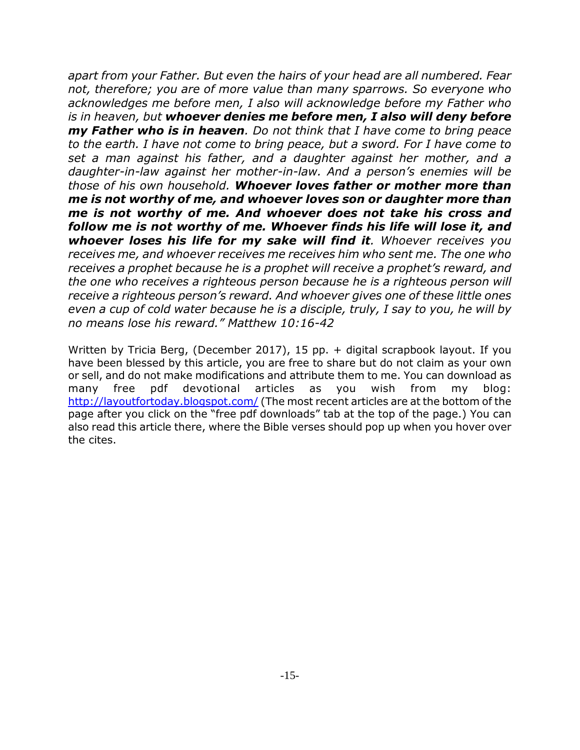*apart from your Father. But even the hairs of your head are all numbered. Fear not, therefore; you are of more value than many sparrows. So everyone who acknowledges me before men, I also will acknowledge before my Father who is in heaven, but whoever denies me before men, I also will deny before my Father who is in heaven. Do not think that I have come to bring peace to the earth. I have not come to bring peace, but a sword. For I have come to set a man against his father, and a daughter against her mother, and a daughter-in-law against her mother-in-law. And a person's enemies will be those of his own household. Whoever loves father or mother more than me is not worthy of me, and whoever loves son or daughter more than me is not worthy of me. And whoever does not take his cross and follow me is not worthy of me. Whoever finds his life will lose it, and whoever loses his life for my sake will find it. Whoever receives you receives me, and whoever receives me receives him who sent me. The one who receives a prophet because he is a prophet will receive a prophet's reward, and the one who receives a righteous person because he is a righteous person will receive a righteous person's reward. And whoever gives one of these little ones even a cup of cold water because he is a disciple, truly, I say to you, he will by no means lose his reward." Matthew 10:16-42*

Written by Tricia Berg, (December 2017), 15 pp. + digital scrapbook layout. If you have been blessed by this article, you are free to share but do not claim as your own or sell, and do not make modifications and attribute them to me. You can download as many free pdf devotional articles as you wish from my blog: http://layoutfortoday.blogspot.com/ (The most recent articles are at the bottom of the page after you click on the "free pdf downloads" tab at the top of the page.) You can also read this article there, where the Bible verses should pop up when you hover over the cites.